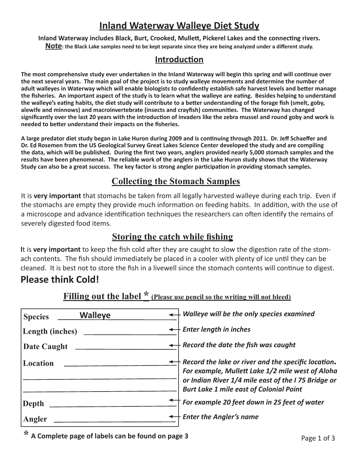# **Inland Waterway Walleye Diet Study**

**Inland Waterway includes Black, Burt, Crooked, Mullett, Pickerel Lakes and the connecting rivers. Note: the Black Lake samples need to be kept separate since they are being analyzed under a different study.**

#### **Introduction**

**The most comprehensive study ever undertaken in the Inland Waterway will begin this spring and will continue over the next several years. The main goal of the project is to study walleye movements and determine the number of adult walleyes in Waterway which will enable biologists to confidently establish safe harvest levels and better manage the fisheries. An important aspect of the study is to learn what the walleye are eating. Besides helping to understand the walleye's eating habits, the diet study will contribute to a better understanding of the forage fish (smelt, goby, alewife and minnows) and macroinvertebrate (insects and crayfish) communities. The Waterway has changed significantly over the last 20 years with the introduction of invaders like the zebra mussel and round goby and work is needed to better understand their impacts on the fisheries.**

**A large predator diet study began in Lake Huron during 2009 and is continuing through 2011. Dr. Jeff Schaeffer and Dr. Ed Rosemen from the US Geological Survey Great Lakes Science Center developed the study and are compiling the data, which will be published. During the first two years, anglers provided nearly 5,000 stomach samples and the results have been phenomenal. The reliable work of the anglers in the Lake Huron study shows that the Waterway Study can also be a great success. The key factor is strong angler participation in providing stomach samples.** 

### **Collecting the Stomach Samples**

It is **very important** that stomachs be taken from all legally harvested walleye during each trip. Even if the stomachs are empty they provide much information on feeding habits. In addition, with the use of a microscope and advance identification techniques the researchers can often identify the remains of severely digested food items.

#### **Storing the catch while fishing**

**I**t is **very important** to keep the fish cold after they are caught to slow the digestion rate of the stomach contents. The fish should immediately be placed in a cooler with plenty of ice until they can be cleaned. It is best not to store the fish in a livewell since the stomach contents will continue to digest.

## **Please think Cold!**

| <b>Walleye</b><br><b>Species</b> | $\leftrightarrow$ Walleye will be the only species examined                                                                                                                                                                |
|----------------------------------|----------------------------------------------------------------------------------------------------------------------------------------------------------------------------------------------------------------------------|
| Length (inches)                  | $\leftrightarrow$ Enter length in inches                                                                                                                                                                                   |
| Date Caught                      | $\leftrightarrow$ Record the date the fish was caught                                                                                                                                                                      |
| Location                         | $\dagger$ Record the lake or river and the specific location.<br>For example, Mullett Lake 1/2 mile west of Aloha<br>or Indian River 1/4 mile east of the I 75 Bridge or<br><b>Burt Lake 1 mile east of Colonial Point</b> |
| Depth                            | For example 20 feet down in 25 feet of water                                                                                                                                                                               |
| Angler                           | $\dashv$ Enter the Angler's name                                                                                                                                                                                           |

#### **Filling out the label \* (Please use pencil so the writing will not bleed)**

**\* A Complete page of labels can be found on page 3 Page 1 of 3**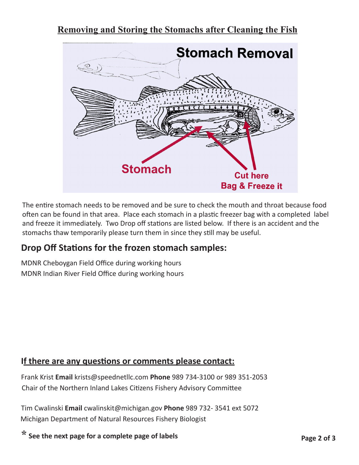## **Removing and Storing the Stomachs after Cleaning the Fish**



The entire stomach needs to be removed and be sure to check the mouth and throat because food often can be found in that area. Place each stomach in a plastic freezer bag with a completed label and freeze it immediately. Two Drop off stations are listed below. If there is an accident and the stomachs thaw temporarily please turn them in since they still may be useful.

## **Drop Off Stations for the frozen stomach samples:**

MDNR Cheboygan Field Office during working hours MDNR Indian River Field Office during working hours

#### **If there are any questions or comments please contact:**

Frank Krist **Email** krists@speednetllc.com **Phone** 989 734-3100 or 989 351-2053 Chair of the Northern Inland Lakes Citizens Fishery Advisory Committee

Tim Cwalinski **Email** cwalinskit@michigan.gov **Phone** 989 732- 3541 ext 5072 Michigan Department of Natural Resources Fishery Biologist

**\* See the next page for a complete page of labels**